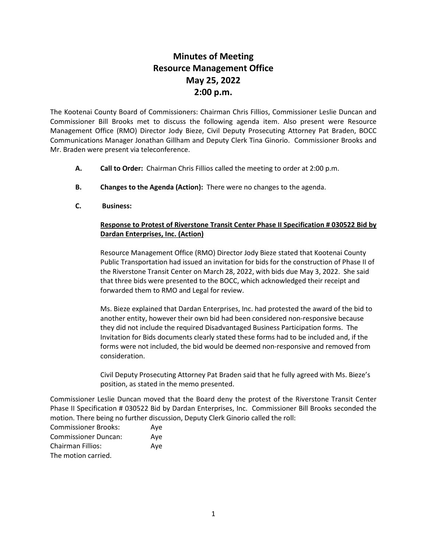## **Minutes of Meeting Resource Management Office May 25, 2022 2:00 p.m.**

The Kootenai County Board of Commissioners: Chairman Chris Fillios, Commissioner Leslie Duncan and Commissioner Bill Brooks met to discuss the following agenda item. Also present were Resource Management Office (RMO) Director Jody Bieze, Civil Deputy Prosecuting Attorney Pat Braden, BOCC Communications Manager Jonathan Gillham and Deputy Clerk Tina Ginorio. Commissioner Brooks and Mr. Braden were present via teleconference.

- **A. Call to Order:** Chairman Chris Fillios called the meeting to order at 2:00 p.m.
- **B. Changes to the Agenda (Action):** There were no changes to the agenda.
- **C. Business:**

## **Response to Protest of Riverstone Transit Center Phase II Specification # 030522 Bid by Dardan Enterprises, Inc. (Action)**

Resource Management Office (RMO) Director Jody Bieze stated that Kootenai County Public Transportation had issued an invitation for bids for the construction of Phase II of the Riverstone Transit Center on March 28, 2022, with bids due May 3, 2022. She said that three bids were presented to the BOCC, which acknowledged their receipt and forwarded them to RMO and Legal for review.

Ms. Bieze explained that Dardan Enterprises, Inc. had protested the award of the bid to another entity, however their own bid had been considered non-responsive because they did not include the required Disadvantaged Business Participation forms. The Invitation for Bids documents clearly stated these forms had to be included and, if the forms were not included, the bid would be deemed non-responsive and removed from consideration.

Civil Deputy Prosecuting Attorney Pat Braden said that he fully agreed with Ms. Bieze's position, as stated in the memo presented.

Commissioner Leslie Duncan moved that the Board deny the protest of the Riverstone Transit Center Phase II Specification # 030522 Bid by Dardan Enterprises, Inc. Commissioner Bill Brooks seconded the motion. There being no further discussion, Deputy Clerk Ginorio called the roll:

| <b>Commissioner Brooks:</b> | Ave |
|-----------------------------|-----|
| <b>Commissioner Duncan:</b> | Aye |
| <b>Chairman Fillios:</b>    | Ave |
| The motion carried.         |     |